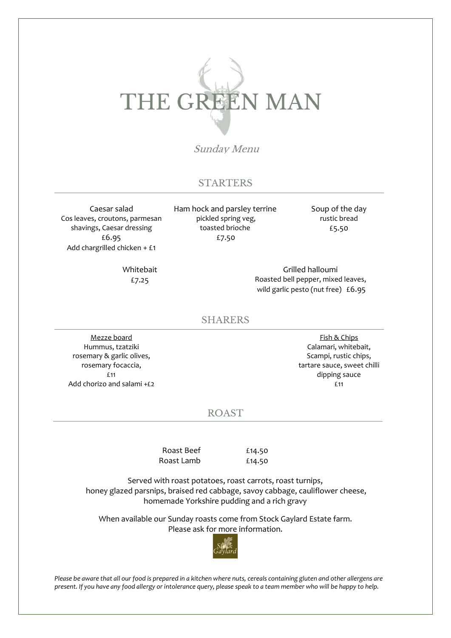# THE GREEN MAN

Sunday Menu

### **STARTERS**

Caesar salad Cos leaves, croutons, parmesan shavings, Caesar dressing £6.95 Add chargrilled chicken + £1

> Whitebait £7.25

Ham hock and parsley terrine pickled spring veg, toasted brioche £7.50

Soup of the day rustic bread £5.50

Grilled halloumi Roasted bell pepper, mixed leaves, wild garlic pesto (nut free) £6.95

#### SHARERS

Mezze board Hummus, tzatziki rosemary & garlic olives, rosemary focaccia, £11 Add chorizo and salami +£2

Fish & Chips Calamari, whitebait, Scampi, rustic chips, tartare sauce, sweet chilli dipping sauce £11

### ROAST

Roast Beef Roast Lamb

£14.50 £14.50

Served with roast potatoes, roast carrots, roast turnips, honey glazed parsnips, braised red cabbage, savoy cabbage, cauliflower cheese, homemade Yorkshire pudding and a rich gravy

When available our Sunday roasts come from Stock Gaylard Estate farm. Please ask for more information.



*Please be aware that all our food is prepared in a kitchen where nuts, cereals containing gluten and other allergens are present. If you have any food allergy or intolerance query, please speak to a team member who will be happy to help.*